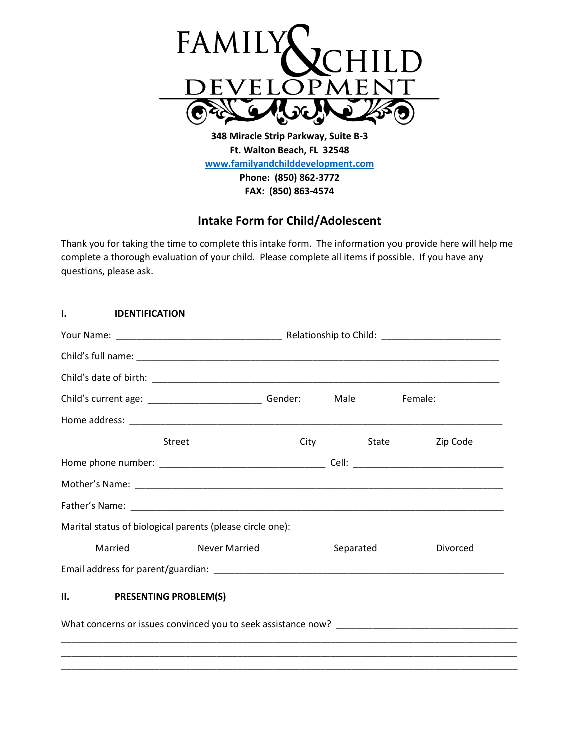

**348 Miracle Strip Parkway, Suite B-3 Ft. Walton Beach, FL 32548 [www.familyandchilddevelopment.com](http://www.familyandchilddevelopment.com/) Phone: (850) 862-3772 FAX: (850) 863-4574**

## **Intake Form for Child/Adolescent**

Thank you for taking the time to complete this intake form. The information you provide here will help me complete a thorough evaluation of your child. Please complete all items if possible. If you have any questions, please ask.

| <b>IDENTIFICATION</b><br>ı.                                   |                      |  |             |                   |  |
|---------------------------------------------------------------|----------------------|--|-------------|-------------------|--|
|                                                               |                      |  |             |                   |  |
|                                                               |                      |  |             |                   |  |
|                                                               |                      |  |             |                   |  |
| Child's current age: ________________________________ Gender: |                      |  | <b>Male</b> | Female:           |  |
|                                                               |                      |  |             |                   |  |
|                                                               | <b>Street</b>        |  | <b>City</b> | State<br>Zip Code |  |
|                                                               |                      |  |             |                   |  |
|                                                               |                      |  |             |                   |  |
|                                                               |                      |  |             |                   |  |
| Marital status of biological parents (please circle one):     |                      |  |             |                   |  |
| Married                                                       | <b>Never Married</b> |  | Separated   | Divorced          |  |
|                                                               |                      |  |             |                   |  |
| II. PRESENTING PROBLEM(S)                                     |                      |  |             |                   |  |
|                                                               |                      |  |             |                   |  |
|                                                               |                      |  |             |                   |  |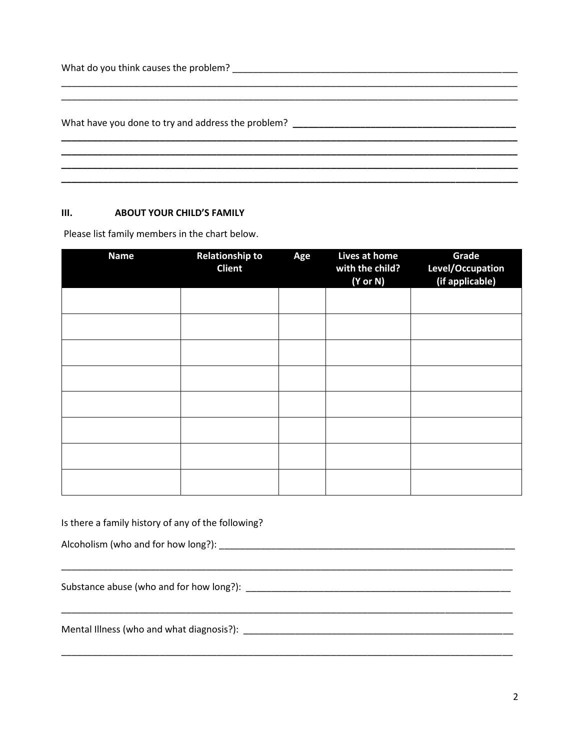What do you think causes the problem?

## $III.$ **ABOUT YOUR CHILD'S FAMILY**

Please list family members in the chart below.

| <b>Name</b> | <b>Relationship to</b><br><b>Client</b> | Age | Lives at home<br>with the child?<br>(Y or N) | Grade<br>Level/Occupation<br>(if applicable) |
|-------------|-----------------------------------------|-----|----------------------------------------------|----------------------------------------------|
|             |                                         |     |                                              |                                              |
|             |                                         |     |                                              |                                              |
|             |                                         |     |                                              |                                              |
|             |                                         |     |                                              |                                              |
|             |                                         |     |                                              |                                              |
|             |                                         |     |                                              |                                              |
|             |                                         |     |                                              |                                              |
|             |                                         |     |                                              |                                              |

Is there a family history of any of the following?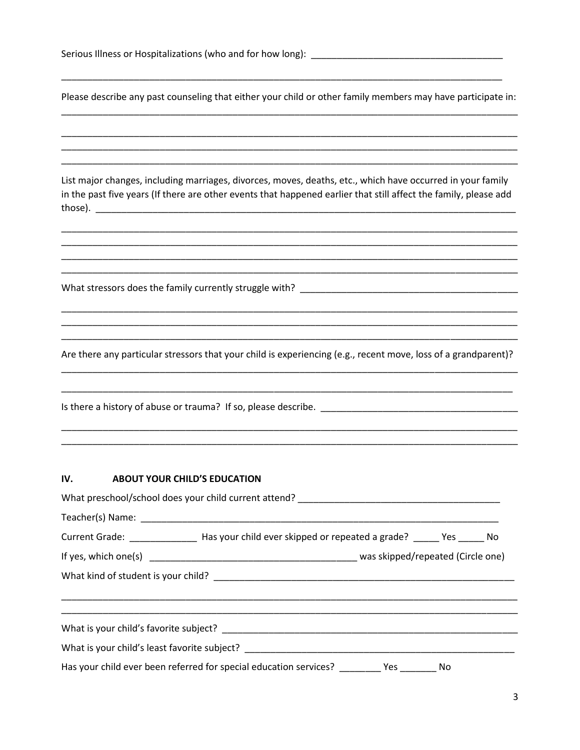| Serious Illness or Hospitalizations (who and for how long): |  |
|-------------------------------------------------------------|--|
|-------------------------------------------------------------|--|

Please describe any past counseling that either your child or other family members may have participate in:

List major changes, including marriages, divorces, moves, deaths, etc., which have occurred in your family in the past five years (If there are other events that happened earlier that still affect the family, please add 

What stressors does the family currently struggle with?

Are there any particular stressors that your child is experiencing (e.g., recent move, loss of a grandparent)?

## IV. **ABOUT YOUR CHILD'S EDUCATION**

| Current Grade: ____________________ Has your child ever skipped or repeated a grade? ______ Yes ______ No |  |
|-----------------------------------------------------------------------------------------------------------|--|
|                                                                                                           |  |
|                                                                                                           |  |
|                                                                                                           |  |
|                                                                                                           |  |
| Has your child ever been referred for special education services? ________ Yes _______ No                 |  |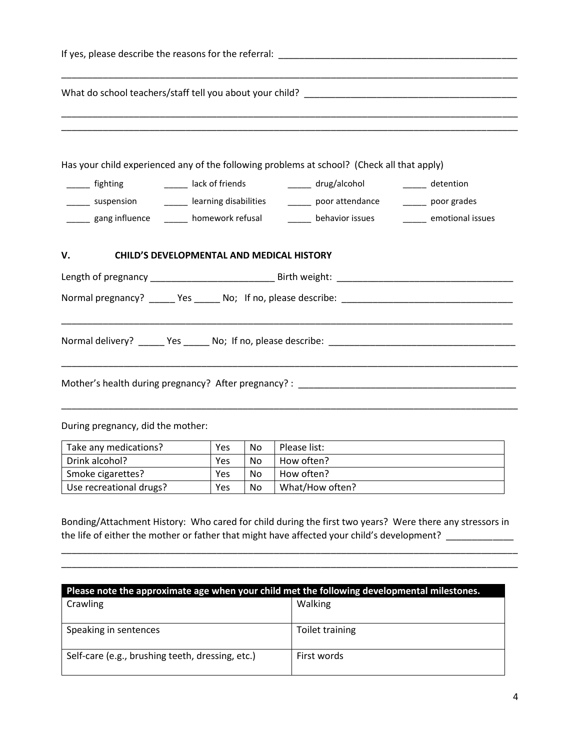|                                   | Has your child experienced any of the following problems at school? (Check all that apply)                            |  |
|-----------------------------------|-----------------------------------------------------------------------------------------------------------------------|--|
|                                   | ______ fighting __________ lack of friends __________ drug/alcohol ________ detention                                 |  |
|                                   | ______ suspension _________ learning disabilities _______ poor attendance _______ poor grades                         |  |
|                                   | gang influence _______ homework refusal ________ behavior issues _______ emotional issues                             |  |
| V.                                | <b>CHILD'S DEVELOPMENTAL AND MEDICAL HISTORY</b>                                                                      |  |
|                                   |                                                                                                                       |  |
|                                   |                                                                                                                       |  |
|                                   | <u> 1989 - Johann Harry Harry Harry Harry Harry Harry Harry Harry Harry Harry Harry Harry Harry Harry Harry Harry</u> |  |
|                                   |                                                                                                                       |  |
| During pregnancy, did the mother: |                                                                                                                       |  |

| Take any medications?   | Yes | No. | Please list:    |
|-------------------------|-----|-----|-----------------|
| Drink alcohol?          | Yes | No  | How often?      |
| Smoke cigarettes?       | Yes | No  | How often?      |
| Use recreational drugs? | Yes | No  | What/How often? |

Bonding/Attachment History: Who cared for child during the first two years? Were there any stressors in the life of either the mother or father that might have affected your child's development? \_\_\_\_\_\_\_\_\_\_\_\_\_

\_\_\_\_\_\_\_\_\_\_\_\_\_\_\_\_\_\_\_\_\_\_\_\_\_\_\_\_\_\_\_\_\_\_\_\_\_\_\_\_\_\_\_\_\_\_\_\_\_\_\_\_\_\_\_\_\_\_\_\_\_\_\_\_\_\_\_\_\_\_\_\_\_\_\_\_\_\_\_\_\_\_\_\_\_\_\_\_ \_\_\_\_\_\_\_\_\_\_\_\_\_\_\_\_\_\_\_\_\_\_\_\_\_\_\_\_\_\_\_\_\_\_\_\_\_\_\_\_\_\_\_\_\_\_\_\_\_\_\_\_\_\_\_\_\_\_\_\_\_\_\_\_\_\_\_\_\_\_\_\_\_\_\_\_\_\_\_\_\_\_\_\_\_\_\_\_

| Please note the approximate age when your child met the following developmental milestones. |                 |  |  |  |
|---------------------------------------------------------------------------------------------|-----------------|--|--|--|
| Crawling                                                                                    | Walking         |  |  |  |
| Speaking in sentences                                                                       | Toilet training |  |  |  |
| Self-care (e.g., brushing teeth, dressing, etc.)                                            | First words     |  |  |  |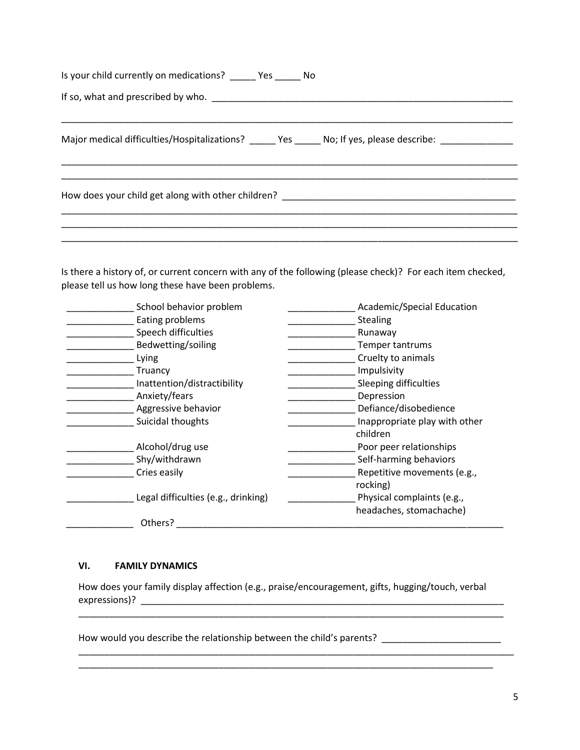| Is your child currently on medications? No No                                                             |
|-----------------------------------------------------------------------------------------------------------|
|                                                                                                           |
| Major medical difficulties/Hospitalizations? _____ Yes _____ No; If yes, please describe: _______________ |
|                                                                                                           |
|                                                                                                           |

Is there a history of, or current concern with any of the following (please check)? For each item checked, please tell us how long these have been problems.

| School behavior problem             | Academic/Special Education    |
|-------------------------------------|-------------------------------|
| Eating problems                     | <b>Stealing</b>               |
| Speech difficulties                 | Runaway                       |
| Bedwetting/soiling                  | Temper tantrums               |
| Lying                               | Cruelty to animals            |
| Truancy                             | Impulsivity                   |
| Inattention/distractibility         | Sleeping difficulties         |
| Anxiety/fears                       | Depression                    |
| Aggressive behavior                 | Defiance/disobedience         |
| Suicidal thoughts                   | Inappropriate play with other |
|                                     | children                      |
| Alcohol/drug use                    | Poor peer relationships       |
| Shy/withdrawn                       | Self-harming behaviors        |
| Cries easily                        | Repetitive movements (e.g.,   |
|                                     | rocking)                      |
| Legal difficulties (e.g., drinking) | Physical complaints (e.g.,    |
|                                     | headaches, stomachache)       |
| Others?                             |                               |

## **VI. FAMILY DYNAMICS**

How does your family display affection (e.g., praise/encouragement, gifts, hugging/touch, verbal expressions)? \_\_\_\_\_\_\_\_\_\_\_\_\_\_\_\_\_\_\_\_\_\_\_\_\_\_\_\_\_\_\_\_\_\_\_\_\_\_\_\_\_\_\_\_\_\_\_\_\_\_\_\_\_\_\_\_\_\_\_\_\_\_\_\_\_\_\_\_\_\_

\_\_\_\_\_\_\_\_\_\_\_\_\_\_\_\_\_\_\_\_\_\_\_\_\_\_\_\_\_\_\_\_\_\_\_\_\_\_\_\_\_\_\_\_\_\_\_\_\_\_\_\_\_\_\_\_\_\_\_\_\_\_\_\_\_\_\_\_\_\_\_\_\_\_\_\_\_\_\_\_\_\_

\_\_\_\_\_\_\_\_\_\_\_\_\_\_\_\_\_\_\_\_\_\_\_\_\_\_\_\_\_\_\_\_\_\_\_\_\_\_\_\_\_\_\_\_\_\_\_\_\_\_\_\_\_\_\_\_\_\_\_\_\_\_\_\_\_\_\_\_\_\_\_\_\_\_\_\_\_\_\_\_\_\_\_\_ \_\_\_\_\_\_\_\_\_\_\_\_\_\_\_\_\_\_\_\_\_\_\_\_\_\_\_\_\_\_\_\_\_\_\_\_\_\_\_\_\_\_\_\_\_\_\_\_\_\_\_\_\_\_\_\_\_\_\_\_\_\_\_\_\_\_\_\_\_\_\_\_\_\_\_\_\_\_\_\_

How would you describe the relationship between the child's parents? \_\_\_\_\_\_\_\_\_\_\_\_\_\_\_\_\_\_\_\_\_\_\_\_\_\_\_\_\_\_